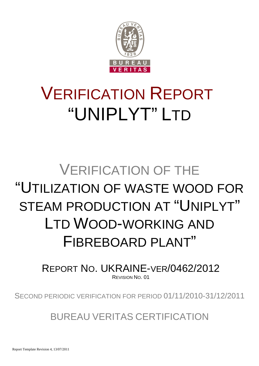

# VERIFICATION REPORT "UNIPLYT" LTD

# VERIFICATION OF THE "UTILIZATION OF WASTE WOOD FOR STEAM PRODUCTION AT "UNIPLYT" LTD WOOD-WORKING AND FIBREBOARD PI ANT"

REPORT NO. UKRAINE-VER/0462/2012 REVISION NO. 01

SECOND PERIODIC VERIFICATION FOR PERIOD 01/11/2010-31/12/2011

BUREAU VERITAS CERTIFICATION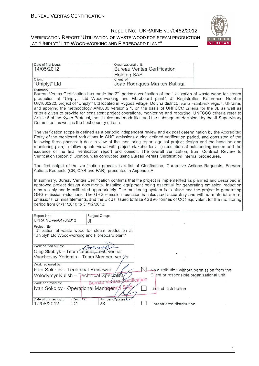

| Date of first issue:                                                                                                                                                                                                                                                                                                                                                                                                                                                                                                                                                                                                                                                                                                                                                                                                                                                                                                                                                                                                                                                                                                                                                                                                                                                                                                                                                                                                                                            | Organizational unit:               |               |                                                                                                                   |  |
|-----------------------------------------------------------------------------------------------------------------------------------------------------------------------------------------------------------------------------------------------------------------------------------------------------------------------------------------------------------------------------------------------------------------------------------------------------------------------------------------------------------------------------------------------------------------------------------------------------------------------------------------------------------------------------------------------------------------------------------------------------------------------------------------------------------------------------------------------------------------------------------------------------------------------------------------------------------------------------------------------------------------------------------------------------------------------------------------------------------------------------------------------------------------------------------------------------------------------------------------------------------------------------------------------------------------------------------------------------------------------------------------------------------------------------------------------------------------|------------------------------------|---------------|-------------------------------------------------------------------------------------------------------------------|--|
| 14/05/2012                                                                                                                                                                                                                                                                                                                                                                                                                                                                                                                                                                                                                                                                                                                                                                                                                                                                                                                                                                                                                                                                                                                                                                                                                                                                                                                                                                                                                                                      |                                    |               | <b>Bureau Veritas Certification</b>                                                                               |  |
| Client:                                                                                                                                                                                                                                                                                                                                                                                                                                                                                                                                                                                                                                                                                                                                                                                                                                                                                                                                                                                                                                                                                                                                                                                                                                                                                                                                                                                                                                                         | <b>Holding SAS</b><br>Client ref.: |               |                                                                                                                   |  |
| "Uniplyt" Ltd                                                                                                                                                                                                                                                                                                                                                                                                                                                                                                                                                                                                                                                                                                                                                                                                                                                                                                                                                                                                                                                                                                                                                                                                                                                                                                                                                                                                                                                   |                                    |               | Joao Rodriques Markes Batista                                                                                     |  |
| Summary:<br>Bureau Veritas Certification has made the 2 <sup>nd</sup> periodic verification of the "Utilization of waste wood for steam<br>production at "Uniplyt" Ltd Wood-working and Fibreboard plant", Jl Registration Reference Number<br>UA1000220, project of "Uniplyt" Ltd located in Vygoda village, Dolyna district, Ivano-Frankivsk region, Ukraine,<br>and applying the methodology AM0036 version 2.1, on the basis of UNFCCC criteria for the JI, as well as<br>criteria given to provide for consistent project operations, monitoring and reporting. UNFCCC criteria refer to<br>Article 6 of the Kyoto Protocol, the JI rules and modalities and the subsequent decisions by the JI Supervisory<br>Committee, as well as the host country criteria.<br>The verification scope is defined as a periodic independent review and ex post determination by the Accredited<br>Entity of the monitored reductions in GHG emissions during defined verification period, and consisted of the<br>following three phases: i) desk review of the monitoring report against project design and the baseline and<br>monitoring plan; ii) follow-up interviews with project stakeholders; iii) resolution of outstanding issues and the<br>issuance of the final verification report and opinion. The overall verification, from Contract Review to<br>Verification Report & Opinion, was conducted using Bureau Veritas Certification internal procedures. |                                    |               |                                                                                                                   |  |
| The first output of the verification process is a list of Clarification, Corrective Actions Requests, Forward<br>Actions Requests (CR, CAR and FAR), presented in Appendix A.                                                                                                                                                                                                                                                                                                                                                                                                                                                                                                                                                                                                                                                                                                                                                                                                                                                                                                                                                                                                                                                                                                                                                                                                                                                                                   |                                    |               |                                                                                                                   |  |
| In summary, Bureau Veritas Certification confirms that the project is implemented as planned and described in<br>approved project design documents. Installed equipment being essential for generating emission reduction<br>runs reliably and is calibrated appropriately. The monitoring system is in place and the project is generating<br>GHG emission reductions. The GHG emission reduction is calculated accurately and without material errors,<br>omissions, or misstatements, and the ERUs issued totalize 42890 tonnes of CO2 equivalent for the monitoring<br>period from 01/11/2010 to 31/12/2012.                                                                                                                                                                                                                                                                                                                                                                                                                                                                                                                                                                                                                                                                                                                                                                                                                                                |                                    |               |                                                                                                                   |  |
| Report No.:<br>UKRAINE-ver/0476/2012<br>JI                                                                                                                                                                                                                                                                                                                                                                                                                                                                                                                                                                                                                                                                                                                                                                                                                                                                                                                                                                                                                                                                                                                                                                                                                                                                                                                                                                                                                      | Subject Group:                     |               |                                                                                                                   |  |
| Project title:<br>"Utilization of waste wood for steam production at<br>"Uniplyt" Ltd Wood-working and Fibreboard plant"                                                                                                                                                                                                                                                                                                                                                                                                                                                                                                                                                                                                                                                                                                                                                                                                                                                                                                                                                                                                                                                                                                                                                                                                                                                                                                                                        |                                    |               |                                                                                                                   |  |
| Work carried out by:<br>fortra<br>Oleg Skoblyk - Team Leader, Lead verifier<br>Vyacheslav Yeriomin - Team Member, verifier                                                                                                                                                                                                                                                                                                                                                                                                                                                                                                                                                                                                                                                                                                                                                                                                                                                                                                                                                                                                                                                                                                                                                                                                                                                                                                                                      |                                    |               |                                                                                                                   |  |
| Work reviewed by:<br>Ivan Sokolov - Technical Reviewer<br>Volodymyr Kulish – Technical Speciálist<br>Work approved by:<br>Ivan Sokolov - Operational Managering                                                                                                                                                                                                                                                                                                                                                                                                                                                                                                                                                                                                                                                                                                                                                                                                                                                                                                                                                                                                                                                                                                                                                                                                                                                                                                 | veritas<br>Rureau                  | Certification | -No distribution without permission from the<br>Client or responsible organizational unit<br>Limited distribution |  |
| Date of this revision:<br>Rev. No.:<br>01<br>17/08/2012                                                                                                                                                                                                                                                                                                                                                                                                                                                                                                                                                                                                                                                                                                                                                                                                                                                                                                                                                                                                                                                                                                                                                                                                                                                                                                                                                                                                         | Number of pages:<br>28             |               | Unrestricted distribution                                                                                         |  |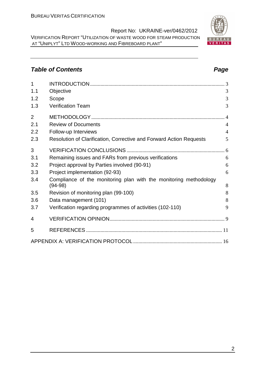# **Table of Contents Page 2018**

| $\overline{1}$ |                                                                                |                |
|----------------|--------------------------------------------------------------------------------|----------------|
| 1.1            | Objective                                                                      | 3              |
| 1.2            | Scope                                                                          | 3              |
| 1.3            | Verification Team                                                              | 3              |
| $\overline{2}$ |                                                                                |                |
| 2.1            | <b>Review of Documents</b>                                                     | $\overline{4}$ |
| 2.2            | Follow-up Interviews                                                           | $\overline{4}$ |
| 2.3            | Resolution of Clarification, Corrective and Forward Action Requests            | 5              |
| 3              |                                                                                |                |
| 3.1            | Remaining issues and FARs from previous verifications                          | 6              |
| 3.2            | Project approval by Parties involved (90-91)                                   | 6              |
| 3.3            | Project implementation (92-93)                                                 | 6              |
| 3.4            | Compliance of the monitoring plan with the monitoring methodology<br>$(94-98)$ | 8              |
| 3.5            | Revision of monitoring plan (99-100)                                           | 8              |
| 3.6            | Data management (101)                                                          | 8              |
| 3.7            | Verification regarding programmes of activities (102-110)                      | 9              |
| 4              |                                                                                |                |
| 5              |                                                                                |                |
|                |                                                                                |                |

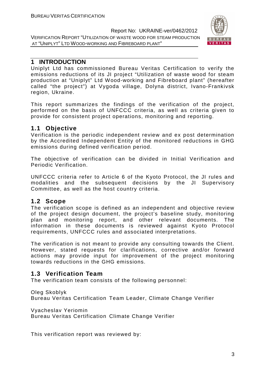

## **1 INTRODUCTION**

Uniplyt Ltd has commissioned Bureau Veritas Certification to verify the emissions reductions of its JI project "Utilization of waste wood for steam production at "Uniplyt" Ltd Wood-working and Fibreboard plant" (hereafter called "the project") at Vygoda village, Dolyna district, Ivano-Frankivsk region, Ukraine.

This report summarizes the findings of the verification of the project, performed on the basis of UNFCCC criteria, as well as criteria given to provide for consistent project operations, monitoring and reporting.

# **1.1 Objective**

Verification is the periodic independent review and ex post determination by the Accredited Independent Entity of the monitored reductions in GHG emissions during defined verification period.

The objective of verification can be divided in Initial Verification and Periodic Verification.

UNFCCC criteria refer to Article 6 of the Kyoto Protocol, the JI rules and modalities and the subsequent decisions by the JI Supervisory Committee, as well as the host country criteria.

# **1.2 Scope**

The verification scope is defined as an independent and objective review of the project design document, the project's baseline study, monitoring plan and monitoring report, and other relevant documents. The information in these documents is reviewed against Kyoto Protocol requirements, UNFCCC rules and associated interpretations.

The verification is not meant to provide any consulting towards the Client. However, stated requests for clarifications, corrective and/or forward actions may provide input for improvement of the project monitoring towards reductions in the GHG emissions.

# **1.3 Verification Team**

The verification team consists of the following personnel:

Oleg Skoblyk

Bureau Veritas Certification Team Leader, Climate Change Verifier

Vyacheslav Yeriomin

Bureau Veritas Certification Climate Change Verifier

This verification report was reviewed by: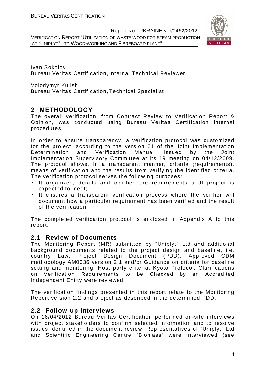

Ivan Sokolov Bureau Veritas Certification, Internal Technical Reviewer

Volodymyr Kulish Bureau Veritas Certification, Technical Specialist

# **2 METHODOLOGY**

The overall verification, from Contract Review to Verification Report & Opinion, was conducted using Bureau Veritas Certification internal procedures.

In order to ensure transparency, a verification protocol was customized for the project, according to the version 01 of the Joint Implementation Determination and Verification Manual, issued by the Joint Implementation Supervisory Committee at its 19 meeting on 04/12/2009. The protocol shows, in a transparent manner, criteria (requirements), means of verification and the results from verifying the identified criteria. The verification protocol serves the following purposes:

- It organizes, details and clarifies the requirements a JI project is expected to meet;
- It ensures a transparent verification process where the verifier will document how a particular requirement has been verified and the result of the verification.

The completed verification protocol is enclosed in Appendix A to this report.

### **2.1 Review of Documents**

The Monitoring Report (MR) submitted by "Uniplyt" Ltd and additional background documents related to the project design and baseline, i.e. country Law, Project Design Document (PDD), Approved CDM methodology AM0036 version 2.1 and/or Guidance on criteria for baseline setting and monitoring, Host party criteria, Kyoto Protocol, Clarifications on Verification Requirements to be Checked by an Accredited Independent Entity were reviewed.

The verification findings presented in this report relate to the Monitoring Report version 2.2 and project as described in the determined PDD.

# **2.2 Follow-up Interviews**

On 16/04/2012 Bureau Veritas Certification performed on-site interviews with project stakeholders to confirm selected information and to resolve issues identified in the document review. Representatives of "Uniplyt" Ltd and Scientific Engineering Centre "Biomass" were interviewed (see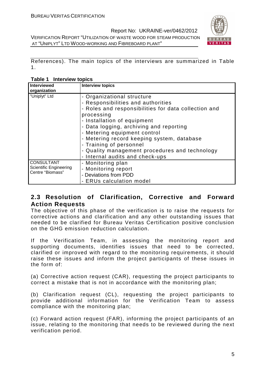

References). The main topics of the interviews are summarized in Table 1.

| Interview topics<br>Table 1 |
|-----------------------------|
|-----------------------------|

| <b>Interviewed</b><br>organization | <b>Interview topics</b>                              |
|------------------------------------|------------------------------------------------------|
| "Uniplyt" Ltd                      | - Organizational structure                           |
|                                    | - Responsibilities and authorities                   |
|                                    | - Roles and responsibilities for data collection and |
|                                    | processing                                           |
|                                    | - Installation of equipment                          |
|                                    | - Data logging, archiving and reporting              |
|                                    | - Metering equipment control                         |
|                                    | - Metering record keeping system, database           |
|                                    | - Training of personnel                              |
|                                    | - Quality management procedures and technology       |
|                                    | - Internal audits and check-ups                      |
| <b>CONSULTANT</b>                  | - Monitoring plan                                    |
| <b>Scientific Engineering</b>      | - Monitoring report                                  |
| Centre "Biomass"                   | - Deviations from PDD                                |
|                                    | <b>ERUs calculation model</b>                        |

# **2.3 Resolution of Clarification, Corrective and Forward Action Requests**

The objective of this phase of the verification is to raise the requests for corrective actions and clarification and any other outstanding issues that needed to be clarified for Bureau Veritas Certification positive conclusion on the GHG emission reduction calculation.

If the Verification Team, in assessing the monitoring report and supporting documents, identifies issues that need to be corrected, clarified or improved with regard to the monitoring requirements, it should raise these issues and inform the project participants of these issues in the form of:

(a) Corrective action request (CAR), requesting the project participants to correct a mistake that is not in accordance with the monitoring plan;

(b) Clarification request (CL), requesting the project participants to provide additional information for the Verification Team to assess compliance with the monitoring plan;

(c) Forward action request (FAR), informing the project participants of an issue, relating to the monitoring that needs to be reviewed during the next verification period.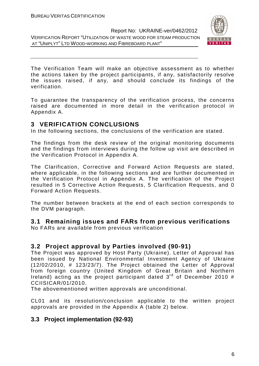

The Verification Team will make an objective assessment as to whether the actions taken by the project participants, if any, satisfactorily resolve the issues raised, if any, and should conclude its findings of the verification.

To guarantee the transparency of the verification process, the concerns raised are documented in more detail in the verification protocol in Appendix A.

## **3 VERIFICATION CONCLUSIONS**

In the following sections, the conclusions of the verification are stated.

The findings from the desk review of the original monitoring documents and the findings from interviews during the follow up visit are described in the Verification Protocol in Appendix A.

The Clarification, Corrective and Forward Action Requests are stated, where applicable, in the following sections and are further documented in the Verification Protocol in Appendix A. The verification of the Project resulted in 5 Corrective Action Requests, 5 Clarification Requests, and 0 Forward Action Requests.

The number between brackets at the end of each section corresponds to the DVM paragraph.

# **3.1 Remaining issues and FARs from previous verifications**

No FARs are available from previous verification

# **3.2 Project approval by Parties involved (90-91)**

The Project was approved by Host Party (Ukraine). Letter of Approval has been issued by National Environmental Investment Agency of Ukraine (12/02/2010, # 123/23/7). The Project obtained the Letter of Approval from foreign country (United Kingdom of Great Britain and Northern Ireland) acting as the project participant dated  $3<sup>rd</sup>$  of December 2010 # CCIISICAR/01/2010.

The abovementioned written approvals are unconditional.

CL01 and its resolution/conclusion applicable to the written project approvals are provided in the Appendix A (table 2) below.

# **3.3 Project implementation (92-93)**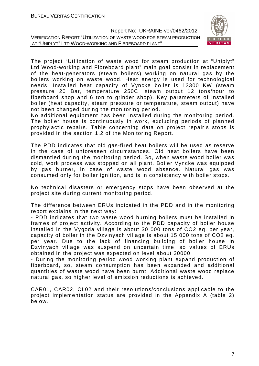

The project "Utilization of waste wood for steam production at "Uniplyt" Ltd Wood-working and Fibreboard plant" main goal consist in replacement of the heat-generators (steam boilers) working on natural gas by the boilers working on waste wood. Heat energy is used for technological needs. Installed heat capacity of Vyncke boiler is 13300 KW (steam pressure 20 Bar, temperature 250C, steam output 12 tons/hour to fiberboard shop and 6 ton to grinder shop). Key parameters of installed boiler (heat capacity, steam pressure or temperature, steam output) have not been changed during the monitoring period.

No additional equipment has been installed during the monitoring period. The boiler house is continuously in work, excluding periods of planned prophylactic repairs. Table concerning data on project repair's stops is provided in the section 1.2 of the Monitoring Report.

The PDD indicates that old gas-fired heat boilers will be used as reserve in the case of unforeseen circumstances. Old heat boilers have been dismantled during the monitoring period. So, when waste wood boiler was cold, work process was stopped on all plant. Boiler Vyncke was equipped by gas burner, in case of waste wood absence. Natural gas was consumed only for boiler ignition, and is in consistency with boiler stops.

No technical disasters or emergency stops have been observed at the project site during current monitoring period.

The difference between ERUs indicated in the PDD and in the monitoring report explains in the next way:

- PDD indicates that two waste wood burning boilers must be installed in frames of project activity. According to the PDD capacity of boiler house installed in the Vygoda village is about 30 000 tons of CO2 eq. per year, capacity of boiler in the Dzvinyach village is about 15 000 tons of CO2 eq. per year. Due to the lack of financing building of boiler house in Dzvinyach village was suspend on uncertain time, so values of ERUs obtained in the project was expected on level about 30000.

- During the monitoring period wood working plant expand production of fiberboard, so, steam consumption has been expanded and additional quantities of waste wood have been burnt. Additional waste wood replace natural gas, so higher level of emission reductions is achieved.

CAR01, CAR02, CL02 and their resolutions/conclusions applicable to the project implementation status are provided in the Appendix A (table 2) below.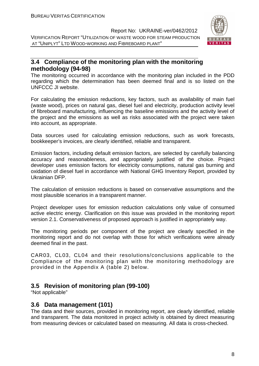

# **3.4 Compliance of the monitoring plan with the monitoring methodology (94-98)**

The monitoring occurred in accordance with the monitoring plan included in the PDD regarding which the determination has been deemed final and is so listed on the UNFCCC JI website.

For calculating the emission reductions, key factors, such as availability of main fuel (waste wood), prices on natural gas, diesel fuel and electricity, production activity level of fibreboard manufacturing, influencing the baseline emissions and the activity level of the project and the emissions as well as risks associated with the project were taken into account, as appropriate.

Data sources used for calculating emission reductions, such as work forecasts, bookkeeper's invoices, are clearly identified, reliable and transparent.

Emission factors, including default emission factors, are selected by carefully balancing accuracy and reasonableness, and appropriately justified of the choice. Project developer uses emission factors for electricity consumptions, natural gas burning and oxidation of diesel fuel in accordance with National GHG Inventory Report, provided by Ukrainian DFP.

The calculation of emission reductions is based on conservative assumptions and the most plausible scenarios in a transparent manner.

Project developer uses for emission reduction calculations only value of consumed active electric energy. Clarification on this issue was provided in the monitoring report version 2.1. Conservativeness of proposed approach is justified in appropriately way.

The monitoring periods per component of the project are clearly specified in the monitoring report and do not overlap with those for which verifications were already deemed final in the past.

CAR03, CL03, CL04 and their resolutions/conclusions applicable to the Compliance of the monitoring plan with the monitoring methodology are provided in the Appendix A (table 2) below.

# **3.5 Revision of monitoring plan (99-100)**

"Not applicable"

### **3.6 Data management (101)**

The data and their sources, provided in monitoring report, are clearly identified, reliable and transparent. The data monitored in project activity is obtained by direct measuring from measuring devices or calculated based on measuring. All data is cross-checked.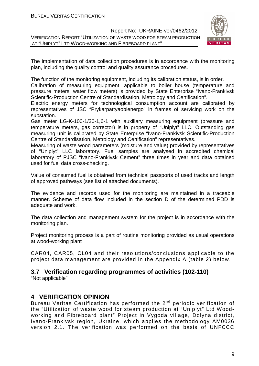

The implementation of data collection procedures is in accordance with the monitoring plan, including the quality control and quality assurance procedures.

The function of the monitoring equipment, including its calibration status, is in order.

Calibration of measuring equipment, applicable to boiler house (temperature and pressure meters, water flow meters) is provided by State Enterprise "Ivano-Frankivsk Scientific-Production Centre of Standardisation, Metrology and Certification".

Electric energy meters for technological consumption account are calibrated by representatives of JSC "Prykarpattyaoblenergo" in frames of servicing work on the substation.

Gas meter LG-K-100-1/30-1,6-1 with auxiliary measuring equipment (pressure and temperature meters, gas corrector) is in property of "Uniplyt" LLC. Outstanding gas measuring unit is calibrated by State Enterprise "Ivano-Frankivsk Scientific-Production Centre of Standardisation, Metrology and Certification" representatives.

Measuring of waste wood parameters (moisture and value) provided by representatives of "Uniplyt" LLC laboratory. Fuel samples are analysed in accredited chemical laboratory of PJSC "Ivano-Frankivsk Cement" three times in year and data obtained used for fuel data cross-checking.

Value of consumed fuel is obtained from technical passports of used tracks and length of approved pathways (see list of attached documents).

The evidence and records used for the monitoring are maintained in a traceable manner. Scheme of data flow included in the section D of the determined PDD is adequate and work.

The data collection and management system for the project is in accordance with the monitoring plan.

Project monitoring process is a part of routine monitoring provided as usual operations at wood-working plant

CAR04, CAR05, CL04 and their resolutions/conclusions applicable to the project data management are provided in the Appendix A (table 2) below.

### **3.7 Verification regarding programmes of activities (102-110)**

"Not applicable"

# **4 VERIFICATION OPINION**

Bureau Veritas Certification has performed the 2<sup>nd</sup> periodic verification of the "Utilization of waste wood for steam production at "Uniplyt" Ltd Woodworking and Fibreboard plant" Project in Vygoda village, Dolyna district, Ivano-Frankivsk region, Ukraine, which applies the methodology AM0036 version 2.1. The verification was performed on the basis of UNFCCC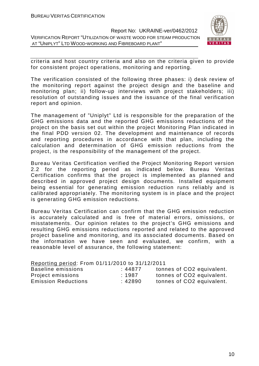

criteria and host country criteria and also on the criteria given to provide for consistent project operations, monitoring and reporting.

The verification consisted of the following three phases: i) desk review of the monitoring report against the project design and the baseline and monitoring plan; ii) follow-up interviews with project stakeholders; iii) resolution of outstanding issues and the issuance of the final verification report and opinion.

The management of "Uniplyt" Ltd is responsible for the preparation of the GHG emissions data and the reported GHG emissions reductions of the project on the basis set out within the project Monitoring Plan indicated in the final PDD version 02. The development and maintenance of records and reporting procedures in accordance with that plan, including the calculation and determination of GHG emission reductions from the project, is the responsibility of the management of the project.

Bureau Veritas Certification verified the Project Monitoring Report version 2.2 for the reporting period as indicated below. Bureau Veritas Certification confirms that the project is implemented as planned and described in approved project design documents. Installed equipment being essential for generating emission reduction runs reliably and is calibrated appropriately. The monitoring system is in place and the project is generating GHG emission reductions.

Bureau Veritas Certification can confirm that the GHG emission reduction is accurately calculated and is free of material errors, omissions, or misstatements. Our opinion relates to the project's GHG emissions and resulting GHG emissions reductions reported and related to the approved project baseline and monitoring, and its associated documents. Based on the information we have seen and evaluated, we confirm, with a reasonable level of assurance, the following statement:

| Reporting period: From 01/11/2010 to 31/12/2011 |        |                           |  |  |  |
|-------------------------------------------------|--------|---------------------------|--|--|--|
| Baseline emissions                              | :44877 | tonnes of CO2 equivalent. |  |  |  |
| Project emissions                               | :1987  | tonnes of CO2 equivalent. |  |  |  |
| <b>Emission Reductions</b>                      | :42890 | tonnes of CO2 equivalent. |  |  |  |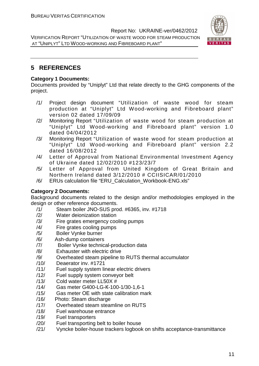

# **5 REFERENCES**

#### **Category 1 Documents:**

Documents provided by "Uniplyt" Ltd that relate directly to the GHG components of the project.

- /1/ Project design document "Utilization of waste wood for steam production at "Uniplyt" Ltd Wood-working and Fibreboard plant" version 02 dated 17/09/09
- /2/ Monitoring Report "Utilization of waste wood for steam production at "Uniplyt" Ltd Wood-working and Fibreboard plant" version 1.0 dated 04/04/2012
- /3/ Monitoring Report "Utilization of waste wood for steam production at "Uniplyt" Ltd Wood-working and Fibreboard plant" version 2.2 dated 16/08/2012
- /4/ Letter of Approval from National Environmental Investment Agency of Ukraine dated 12/02/2010 #123/23/7
- /5/ Letter of Approval from United Kingdom of Great Britain and Northern Ireland dated 3/12/2010 # CCIISICAR/01/2010
- /6/ ERUs calculation file "ERU\_Calculation\_Workbook-ENG.xls"

### **Category 2 Documents:**

Background documents related to the design and/or methodologies employed in the design or other reference documents.

- /1/ Steam boiler JNO-SUS prod. #6365, inv. #1718
- /2/ Water deionization station
- /3/ Fire grates emergency cooling pumps
- /4/ Fire grates cooling pumps
- /5/ Boiler Vynke burner
- /6/ Ash-dump containers
- /7/ Boiler Vynke technical-production data
- /8/ Exhauster with electric drive
- /9/ Overheated steam pipeline to RUTS thermal accumulator
- /10/ Deaerator inv. #1721
- /11/ Fuel supply system linear electric drivers
- /12/ Fuel supply system conveyor belt
- /13/ Cold water meter LL50X #
- /14/ Gas meter G400-LG-К-100-1/30-1,6-1
- /15/ Gas meter ОЕ with state calibration mark
- /16/ Photo: Steam discharge
- /17/ Overheated steam steamline on RUTS
- /18/ Fuel warehouse entrance
- /19/ Fuel transporters
- /20/ Fuel transporting belt to boiler house
- /21/ Vyncke boiler-house trackers logbook on shifts acceptance-transmittance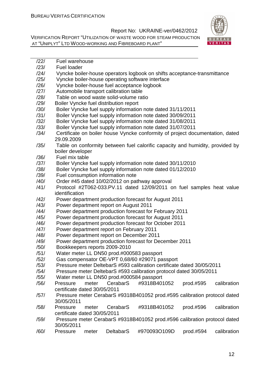

| /22/ | Fuel warehouse                                                                    |
|------|-----------------------------------------------------------------------------------|
| /23/ | <b>Fuel loader</b>                                                                |
| /24/ | Vyncke boiler-house operators logbook on shifts acceptance-transmittance          |
| /25/ | Vyncke boiler-house operating software interface                                  |
| /26/ | Vyncke boiler-house fuel acceptance logbook                                       |
| /27/ | Automobile transport calibration table                                            |
| /28/ | Table on wood waste solid-volume ratio                                            |
| /29/ | Boiler Vyncke fuel distribution report                                            |
| /30/ | Boiler Vyncke fuel supply information note dated 31/11/2011                       |
| /31/ | Boiler Vyncke fuel supply information note dated 30/09/2011                       |
| /32/ | Boiler Vyncke fuel supply information note dated 31/08/2011                       |
| /33/ | Boiler Vyncke fuel supply information note dated 31/07/2011                       |
| /34/ | Certificate on boiler house Vyncke conformity of project documentation, dated     |
|      | 29.09.2009                                                                        |
| /35/ | Table on conformity between fuel calorific capacity and humidity, provided by     |
|      | boiler developer                                                                  |
| /36/ | Fuel mix table                                                                    |
| /37/ | Boiler Vyncke fuel supply information note dated 30/11/2010                       |
| /38/ | Boiler Vyncke fuel supply information note dated 01/12/2010                       |
| /39/ | Fuel consumption information note                                                 |
| /40/ | Order #45 dated 10/02/2012 on pathway approval                                    |
| /41/ | Protocol #2T062-033.PV.11 dated 12/09/2011 on fuel samples heat value             |
|      | identification                                                                    |
| /42/ | Power department production forecast for August 2011                              |
| /43/ | Power department report on August 2011                                            |
| /44/ | Power department production forecast for February 2011                            |
| /45/ | Power department production forecast for August 2011                              |
| /46/ | Power department production forecast for October 2011                             |
| /47/ | Power department report on February 2011                                          |
| /48/ | Power department report on December 2011                                          |
| /49/ | Power department production forecast for December 2011                            |
| /50/ | Bookkeepers reports 2009-2010                                                     |
| /51/ | Water meter LL DN50 prod.#000583 passport                                         |
| /52/ | Gas compensator OE-VPT 0,68/60 #29071 passport                                    |
| /53/ | Pressure meter DeltebarS #593 calibration certificate dated 30/05/2011            |
| /54/ | Pressure meter DeltebarS #593 calibration protocol dated 30/05/2011               |
| /55/ | Water meter LL DN50 prod.#000584 passport                                         |
| /56/ | CerabarS<br>#9318B401052<br>calibration<br>Pressure<br>meter<br>prod.#595         |
|      | certificate dated 30/05/2011                                                      |
| /57/ | Pressure meter CerabarS #9318B401052 prod.#595 calibration protocol dated         |
|      | 30/05/2011                                                                        |
| /58/ | CerabarS<br>#9318B401052<br>calibration<br>Pressure<br>meter<br>prod.#596         |
|      | certificate dated 30/05/2011                                                      |
| /59/ | Pressure meter CerabarS #9318B401052 prod.#596 calibration protocol dated         |
|      | 30/05/2011                                                                        |
| /60/ | <b>DeltabarS</b><br>#970093O109D<br>calibration<br>Pressure<br>meter<br>prod.#594 |
|      |                                                                                   |
|      |                                                                                   |
|      | 12                                                                                |
|      |                                                                                   |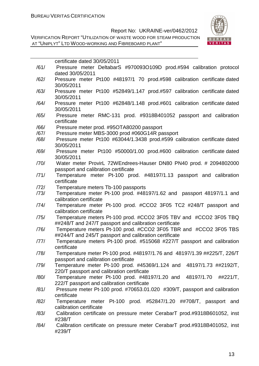

|      | certificate dated 30/05/2011                                               |
|------|----------------------------------------------------------------------------|
| /61/ | Pressure meter DeltabarS #970093O109D prod.#594 calibration protocol       |
|      | dated 30/05/2011                                                           |
| /62/ | Pressure meter Pt100 #48197/1 70 prod.#598 calibration certificate dated   |
|      | 30/05/2011                                                                 |
| /63/ | Pressure meter Pt100 #52849/1.147 prod.#597 calibration certificate dated  |
|      | 30/05/2011                                                                 |
| /64/ | Pressure meter Pt100 #62848/1.148 prod.#601 calibration certificate dated  |
|      | 30/05/2011                                                                 |
| /65/ | Pressure meter RMC-131 prod. #9318B401052 passport and calibration         |
|      | certificate                                                                |
| /66/ | Pressure meter prod. #95OTA80200 passport                                  |
| /67/ | Pressure meter MBS-3000 prod #060G14R passport                             |
| /68/ | Pressure meter Pt100 #63044/1.3438 prod.#599 calibration certificate dated |
|      | 30/05/2011                                                                 |
|      |                                                                            |
| /69/ | Pressure meter Pt100 #50000/1.00 prod.#600 calibration certificate dated   |
|      | 30/05/2011                                                                 |
| /70/ | Water meter ProvirL 72WEndrees-Hauser DN80 PN40 prod. # 2094802000         |
|      | passport and calibration certificate                                       |
| /71/ | Temperature meter Pt-100 prod. #48197/1.13 passport and calibration        |
|      | certificate                                                                |
| /72/ | Temperature meters Tb-100 passports                                        |
| /73/ | Temperature meter Pt-100 prod. #48197/1.62 and passport 48197/1.1 and      |
|      | calibration certificate                                                    |
| /74/ | Temperature meter Pt-100 prod. #CCO2 3F05 TC2 #248/T passport and          |
|      | calibration certificate                                                    |
| /75/ | Temperature meters Pt-100 prod. #CCO2 3F05 TBV and #CCO2 3F05 TBQ          |
|      | ##248/T and 247/T passport and calibration certificate                     |
| /76/ | Temperature meters Pt-100 prod. #CCO2 3F05 TBR and #CCO2 3F05 TBS          |
|      | ##244/T and 245/T passport and calibration certificate                     |
| /77/ | Temperature meters Pt-100 prod. #515068 #227/T passport and calibration    |
|      | certificate                                                                |
| /78/ | Temperature meter Pt-100 prod. #48197/1.76 and 48197/1.39 ##225/T, 226/T   |
|      | passport and calibration certificate                                       |
| /79/ | Temperature meter Pt-100 prod. #45369/1.124 and 48197/1.73 ##2192/T,       |
|      | 220/T passport and calibration certificate                                 |
| /80/ | Temperature meter Pt-100 prod. #48197/1.20 and 48197/1.70<br>##221/T,      |
|      | 222/T passport and calibration certificate                                 |
| /81/ | Pressure meter Pt-100 prod. #70653.01.020 #309/T, passport and calibration |
|      | certificate                                                                |
| /82/ | Temperature meter Pt-100 prod. #52847/1.20 ##708/T, passport and           |
|      | calibration certificate                                                    |
| /83/ | Calibration certificate on pressure meter CerabarT prod.#9318B601052, inst |
|      | #238/T                                                                     |
| /84/ | Calibration certificate on pressure meter CerabarT prod.#9318B401052, inst |
|      | #239/T                                                                     |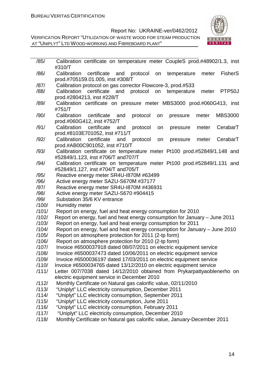VERIFICATION REPORT "UTILIZATION OF WASTE WOOD FOR STEAM PRODUCTION AT "UNIPLYT" LTD WOOD-WORKING AND FIBREBOARD PLANT"



| /85/  | Calibration certificate on temperature meter CoupleS prod.#48902/1.3, inst                                                        |
|-------|-----------------------------------------------------------------------------------------------------------------------------------|
|       | #310/T                                                                                                                            |
| /86/  | Calibration<br>certificate<br>protocol<br><b>FisherS</b><br>and<br>temperature<br>meter<br>on<br>prod.#705159.01.005, inst #308/T |
| /87/  | Calibration protocol on gas corrector Flowcore-3, prod.#533                                                                       |
| /88/  | Calibration certificate<br>protocol on<br>PTP50J<br>and<br>temperature<br>meter                                                   |
|       | prod.#2804213, inst #228/T                                                                                                        |
| /89/  | Calibration certificate on pressure meter MBS3000 prod.#060G413, inst                                                             |
|       | #751/T                                                                                                                            |
| /90/  | <b>MBS3000</b><br>Calibration<br>certificate<br>protocol<br>and<br>on<br>pressure<br>meter                                        |
|       | prod.#060G412, inst #752/T                                                                                                        |
| /91/  | Calibration certificate and<br>protocol<br>CerabarT<br>meter<br>on<br>pressure                                                    |
| /92/  | prod.#8103E701052, inst #711/T<br>Calibration<br>certificate<br>protocol<br>CerabarT<br>and<br>on<br>pressure<br>meter            |
|       | prod.#AB00C901052, inst #710/T                                                                                                    |
| /93/  | Calibration certificate on temperature meter Pt100 prod.#52849/1.148 and                                                          |
|       | #52849/1.123, inst #706/T and 707/T                                                                                               |
| /94/  | Calibration certificate on temperature meter Pt100 prod.#52849/1.131 and                                                          |
|       | #52849/1.127, inst #704/T and705/T                                                                                                |
| /95/  | Reactive energy meter SR4U-1870M #63499                                                                                           |
| /96/  | Active energy meter SAZU-S670M #37177                                                                                             |
| /97/  | Reactive energy meter SR4U-I870M #436931                                                                                          |
| /98/  | Active energy meter SAZU-S670 #904415                                                                                             |
| /99/  | Substation 35/6 KV entrance                                                                                                       |
| /100/ | Humidity meter                                                                                                                    |
| /101/ | Report on energy, fuel and heat energy consumption for 2010                                                                       |
| /102/ | Report on energy, fuel and heat energy consumption for January - June 2011                                                        |
| /103/ | Report on energy, fuel and heat energy consumption for 2011                                                                       |
| /104/ | Report on energy, fuel and heat energy consumption for January - June 2010                                                        |
| /105/ | Report on atmosphere protection for 2011 (2-tp form)                                                                              |
| /106/ | Report on atmosphere protection for 2010 (2-tp form)                                                                              |
| /107/ | Invoice #6500037918 dated 08/07/2011 on electric equipment service                                                                |
| /108/ | Invoice #6500037473 dated 10/06/2011 on electric equipment service                                                                |
| /109/ | Invoice #6500036197 dated 17/03/2011 on electric equipment service                                                                |
| /110/ | Invoice #6500034765 dated 13/12/2010 on electric equipment service                                                                |
| /111/ | Letter 007/7038 dated 14/12/2010 obtained from Prykarpattyaoblenerho on                                                           |
|       | electric equipment service in December 2010                                                                                       |
| /112/ | Monthly Certificate on Natural gas calorific value, 02/11/2010                                                                    |
| /113/ | "Uniplyt" LLC electricity consumption, December 2011                                                                              |
| /114/ | "Uniplyt" LLC electricity consumption, September 2011                                                                             |
| /115/ | "Uniplyt" LLC electricity consumption, June 2011                                                                                  |
| /116/ | "Uniplyt" LLC electricity consumption, February 2011                                                                              |
| /117/ | "Uniplyt" LLC electricity consumption, December 2010                                                                              |
| 11181 | Monthly Certificate on Natural ass calorific value January-December 2011                                                          |

/118/ Monthly Certificate on Natural gas calorific value, January-December 2011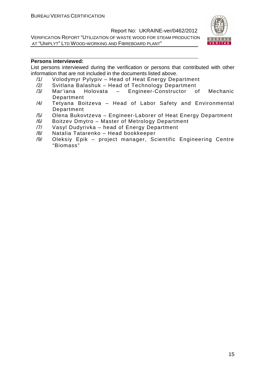VERIFICATION REPORT "UTILIZATION OF WASTE WOOD FOR STEAM PRODUCTION AT "UNIPLYT" LTD WOOD-WORKING AND FIBREBOARD PLANT"



#### **Persons interviewed:**

List persons interviewed during the verification or persons that contributed with other information that are not included in the documents listed above.

- /1/ Volodymyr Pylypiv Head of Heat Energy Department
- Svitlana Balashuk Head of Technology Department
- /3/ Mar'iana Holovata Engineer-Constructor of Mechanic Department
- /4/ Tetyana Boitzeva Head of Labor Safety and Environmental Department
- /5/ Olena Bukovtzeva Engineer-Laborer of Heat Energy Department
- /6/ Boitzev Dmytro Master of Metrology Department
- /7/ Vasyl Dudyrivka head of Energy Department
- /8/ Natalia Tatarenko Head bookkeeper
- /9/ Oleksiy Epik project manager, Scientific Engineering Centre "Biomass"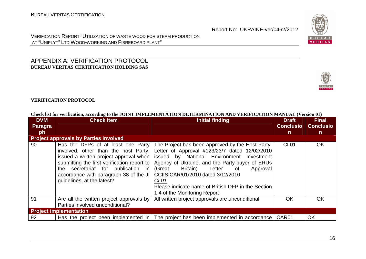

#### APPENDIX A: VERIFICATION PROTOCOL **BUREAU VERITAS CERTIFICATION HOLDING SAS**



|  | Check list for verification, according to the JOINT IMPLEMENTATION DETERMINATION AND VERIFICATION MANUAL (Version 01) |  |
|--|-----------------------------------------------------------------------------------------------------------------------|--|
|  |                                                                                                                       |  |

| <b>DVM</b> | <b>Check Item</b>                                                                                                                                                                                                                                                                 | <b>Initial finding</b>                                                                                                                                                                                                                                                                                                                                                                         | <b>Draft</b>     | <b>Final</b>     |
|------------|-----------------------------------------------------------------------------------------------------------------------------------------------------------------------------------------------------------------------------------------------------------------------------------|------------------------------------------------------------------------------------------------------------------------------------------------------------------------------------------------------------------------------------------------------------------------------------------------------------------------------------------------------------------------------------------------|------------------|------------------|
| Paragra    |                                                                                                                                                                                                                                                                                   |                                                                                                                                                                                                                                                                                                                                                                                                | <b>Conclusio</b> | <b>Conclusio</b> |
| ph         |                                                                                                                                                                                                                                                                                   |                                                                                                                                                                                                                                                                                                                                                                                                | n                | n.               |
|            | <b>Project approvals by Parties involved</b>                                                                                                                                                                                                                                      |                                                                                                                                                                                                                                                                                                                                                                                                |                  |                  |
| 90         | Has the DFPs of at least one Party<br>involved, other than the host Party,<br>issued a written project approval when<br>submitting the first verification report to<br>the secretariat for publication in<br>accordance with paragraph 38 of the JI<br>guidelines, at the latest? | The Project has been approved by the Host Party,<br>Letter of Approval #123/23/7 dated 12/02/2010<br>issued by National Environment Investment<br>Agency of Ukraine, and the Party-buyer of ERUs<br>(Great<br>Approval<br>Britain)<br>Letter of<br>CCIISICAR/01/2010 dated 3/12/2010<br>CL <sub>01</sub><br>Please indicate name of British DFP in the Section<br>1.4 of the Monitoring Report | CL <sub>01</sub> | <b>OK</b>        |
| 91         | Are all the written project approvals by<br>Parties involved unconditional?                                                                                                                                                                                                       | All written project approvals are unconditional                                                                                                                                                                                                                                                                                                                                                | OK.              | <b>OK</b>        |
|            | <b>Project implementation</b>                                                                                                                                                                                                                                                     |                                                                                                                                                                                                                                                                                                                                                                                                |                  |                  |
| 92         | Has the project been implemented in                                                                                                                                                                                                                                               | The project has been implemented in accordance   CAR01                                                                                                                                                                                                                                                                                                                                         |                  | OK               |



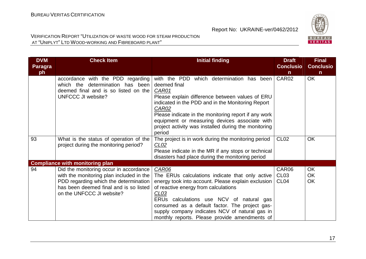

| <b>DVM</b><br><b>Paragra</b><br>ph | <b>Check Item</b>                                                                                                                                                                                  | <b>Initial finding</b>                                                                                                                                                                                                                                                                                                                                                               | <b>Draft</b><br><b>Conclusio</b><br>$\mathsf{n}$ | <b>Final</b><br><b>Conclusio</b><br>$\mathsf{n}$ |
|------------------------------------|----------------------------------------------------------------------------------------------------------------------------------------------------------------------------------------------------|--------------------------------------------------------------------------------------------------------------------------------------------------------------------------------------------------------------------------------------------------------------------------------------------------------------------------------------------------------------------------------------|--------------------------------------------------|--------------------------------------------------|
|                                    | accordance with the PDD regarding<br>which the determination has been<br>deemed final and is so listed on the<br><b>UNFCCC JI website?</b>                                                         | with the PDD which determination has been<br>deemed final<br>CAR01<br>Please explain difference between values of ERU<br>indicated in the PDD and in the Monitoring Report<br>CAR02<br>Please indicate in the monitoring report if any work<br>equipment or measuring devices associate with<br>project activity was installed during the monitoring<br>period                       | CAR02                                            | <b>OK</b>                                        |
| 93                                 | What is the status of operation of the<br>project during the monitoring period?                                                                                                                    | The project is in work during the monitoring period<br>CLO2<br>Please indicate in the MR if any stops or technical<br>disasters had place during the monitoring period                                                                                                                                                                                                               | <b>CL02</b>                                      | <b>OK</b>                                        |
|                                    | <b>Compliance with monitoring plan</b>                                                                                                                                                             |                                                                                                                                                                                                                                                                                                                                                                                      |                                                  |                                                  |
| 94                                 | Did the monitoring occur in accordance<br>with the monitoring plan included in the<br>PDD regarding which the determination<br>has been deemed final and is so listed<br>on the UNFCCC JI website? | <b>CAR06</b><br>The ERUs calculations indicate that only active<br>energy took into account. Please explain exclusion  <br>of reactive energy from calculations<br>CL <sub>03</sub><br>ERUs calculations use NCV of natural gas<br>consumed as a default factor. The project gas-<br>supply company indicates NCV of natural gas in<br>monthly reports. Please provide amendments of | CAR06<br>CL <sub>03</sub><br>CL <sub>04</sub>    | <b>OK</b><br><b>OK</b><br><b>OK</b>              |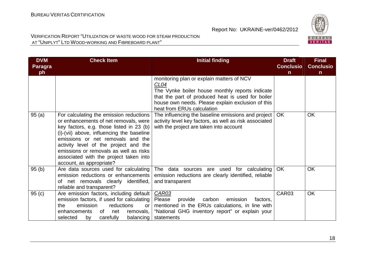

| <b>DVM</b><br><b>Paragra</b> | <b>Check Item</b>                                                                                                                                                                                                                                                                                                                                                       | <b>Initial finding</b>                                                                                                                                                                                                                                   | <b>Draft</b><br><b>Conclusio</b> | <b>Final</b><br><b>Conclusio</b> |
|------------------------------|-------------------------------------------------------------------------------------------------------------------------------------------------------------------------------------------------------------------------------------------------------------------------------------------------------------------------------------------------------------------------|----------------------------------------------------------------------------------------------------------------------------------------------------------------------------------------------------------------------------------------------------------|----------------------------------|----------------------------------|
| ph                           |                                                                                                                                                                                                                                                                                                                                                                         |                                                                                                                                                                                                                                                          | $\mathsf{n}$                     | $\mathsf{n}$                     |
|                              |                                                                                                                                                                                                                                                                                                                                                                         | monitoring plan or explain matters of NCV<br>CL <sub>04</sub><br>The Vynke boiler house monthly reports indicate<br>that the part of produced heat is used for boiler<br>house own needs. Please explain exclusion of this<br>heat from ERUs calculation |                                  |                                  |
| 95(a)                        | For calculating the emission reductions<br>or enhancements of net removals, were<br>key factors, e.g. those listed in 23 (b)<br>(i)-(vii) above, influencing the baseline<br>emissions or net removals and the<br>activity level of the project and the<br>emissions or removals as well as risks<br>associated with the project taken into<br>account, as appropriate? | The influencing the baseline emissions and project<br>activity level key factors, as well as risk associated<br>with the project are taken into account                                                                                                  | <b>OK</b>                        | <b>OK</b>                        |
| 95(b)                        | Are data sources used for calculating<br>emission reductions or enhancements<br>of net removals clearly identified,<br>reliable and transparent?                                                                                                                                                                                                                        | The data sources are used for calculating<br>emission reductions are clearly identified, reliable<br>and transparent                                                                                                                                     | <b>OK</b>                        | <b>OK</b>                        |
| 95(c)                        | Are emission factors, including default<br>emission factors, if used for calculating<br>emission<br>reductions<br>the.<br>or<br>enhancements<br>of<br>net<br>removals,<br>selected<br>carefully<br>balancing<br>by                                                                                                                                                      | <b>CAR03</b><br>Please<br>carbon<br>provide<br>emission<br>factors,<br>mentioned in the ERUs calculations, in line with<br>"National GHG inventory report" or explain your<br>statements                                                                 | CAR03                            | <b>OK</b>                        |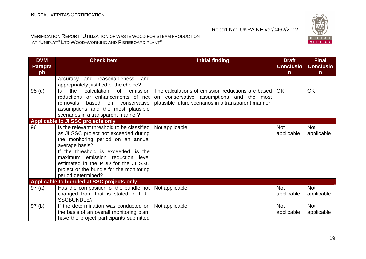

| <b>DVM</b><br><b>Paragra</b> | <b>Check Item</b>                                                                                                                                                                                                                                                                                                                | <b>Initial finding</b>                                                                                                                              | <b>Draft</b><br><b>Conclusio</b> | <b>Final</b><br><b>Conclusio</b> |
|------------------------------|----------------------------------------------------------------------------------------------------------------------------------------------------------------------------------------------------------------------------------------------------------------------------------------------------------------------------------|-----------------------------------------------------------------------------------------------------------------------------------------------------|----------------------------------|----------------------------------|
| ph                           |                                                                                                                                                                                                                                                                                                                                  |                                                                                                                                                     | $\mathsf{n}$                     | $\mathsf{n}$                     |
|                              | accuracy and reasonableness, and<br>appropriately justified of the choice?                                                                                                                                                                                                                                                       |                                                                                                                                                     |                                  |                                  |
| 95(d)                        | the<br>calculation of<br>emission<br>ls l<br>reductions or enhancements of net<br>removals based<br>conservative<br>on<br>assumptions and the most plausible<br>scenarios in a transparent manner?                                                                                                                               | The calculations of emission reductions are based<br>on conservative assumptions and the most<br>plausible future scenarios in a transparent manner | OK.                              | <b>OK</b>                        |
|                              | Applicable to JI SSC projects only                                                                                                                                                                                                                                                                                               |                                                                                                                                                     |                                  |                                  |
| 96                           | Is the relevant threshold to be classified<br>as JI SSC project not exceeded during<br>the monitoring period on an annual<br>average basis?<br>If the threshold is exceeded, is the<br>maximum emission reduction level<br>estimated in the PDD for the JI SSC<br>project or the bundle for the monitoring<br>period determined? | Not applicable                                                                                                                                      | <b>Not</b><br>applicable         | <b>Not</b><br>applicable         |
|                              | Applicable to bundled JI SSC projects only                                                                                                                                                                                                                                                                                       |                                                                                                                                                     |                                  |                                  |
| 97(a)                        | Has the composition of the bundle not<br>changed from that is stated in F-JI-<br><b>SSCBUNDLE?</b>                                                                                                                                                                                                                               | Not applicable                                                                                                                                      | <b>Not</b><br>applicable         | <b>Not</b><br>applicable         |
| 97(b)                        | If the determination was conducted on<br>the basis of an overall monitoring plan,<br>have the project participants submitted                                                                                                                                                                                                     | Not applicable                                                                                                                                      | <b>Not</b><br>applicable         | <b>Not</b><br>applicable         |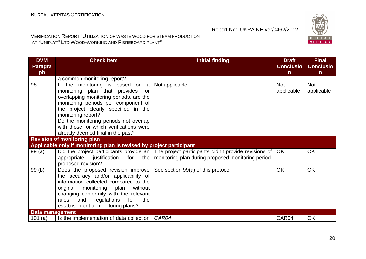

| <b>DVM</b><br><b>Paragra</b> | <b>Check Item</b>                                                                                                                                                                                                                                                                                                                               | <b>Initial finding</b>                                                                                                                               | <b>Draft</b><br><b>Conclusio</b> | <b>Final</b><br><b>Conclusio</b> |
|------------------------------|-------------------------------------------------------------------------------------------------------------------------------------------------------------------------------------------------------------------------------------------------------------------------------------------------------------------------------------------------|------------------------------------------------------------------------------------------------------------------------------------------------------|----------------------------------|----------------------------------|
| ph                           |                                                                                                                                                                                                                                                                                                                                                 |                                                                                                                                                      | $\mathsf{n}$                     | $\mathsf{n}$                     |
|                              | a common monitoring report?                                                                                                                                                                                                                                                                                                                     |                                                                                                                                                      |                                  |                                  |
| 98                           | If the monitoring is based on $a$<br>monitoring plan that provides for<br>overlapping monitoring periods, are the<br>monitoring periods per component of<br>the project clearly specified in the<br>monitoring report?<br>Do the monitoring periods not overlap<br>with those for which verifications were<br>already deemed final in the past? | Not applicable                                                                                                                                       | <b>Not</b><br>applicable         | <b>Not</b><br>applicable         |
|                              | <b>Revision of monitoring plan</b>                                                                                                                                                                                                                                                                                                              |                                                                                                                                                      |                                  |                                  |
|                              | Applicable only if monitoring plan is revised by project participant                                                                                                                                                                                                                                                                            |                                                                                                                                                      |                                  |                                  |
| 99(a)                        | appropriate<br>justification for<br>the<br>proposed revision?                                                                                                                                                                                                                                                                                   | Did the project participants provide an The project participants didn't provide revisions of OK<br>monitoring plan during proposed monitoring period |                                  | <b>OK</b>                        |
| 99(b)                        | Does the proposed revision improve<br>the accuracy and/or applicability of<br>information collected compared to the<br>original<br>monitoring plan without<br>changing conformity with the relevant<br>and<br>regulations<br>for<br>rules<br>the<br>establishment of monitoring plans?                                                          | See section 99(a) of this protocol                                                                                                                   | <b>OK</b>                        | <b>OK</b>                        |
| Data management              |                                                                                                                                                                                                                                                                                                                                                 |                                                                                                                                                      |                                  |                                  |
| 101 $(a)$                    | Is the implementation of data collection   CAR04                                                                                                                                                                                                                                                                                                |                                                                                                                                                      | CAR04                            | <b>OK</b>                        |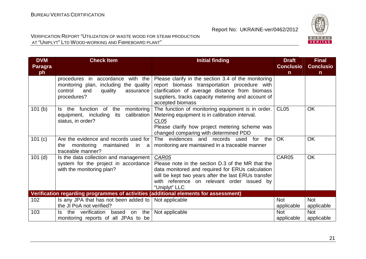

| <b>DVM</b><br><b>Paragra</b> | <b>Check Item</b>                                                                                                                       | <b>Initial finding</b>                                                                                                                                                                                                               | <b>Draft</b><br><b>Conclusio</b> | <b>Final</b><br><b>Conclusio</b> |
|------------------------------|-----------------------------------------------------------------------------------------------------------------------------------------|--------------------------------------------------------------------------------------------------------------------------------------------------------------------------------------------------------------------------------------|----------------------------------|----------------------------------|
| ph                           |                                                                                                                                         |                                                                                                                                                                                                                                      | $\mathsf{n}$                     | $\mathsf{n}$                     |
|                              | with the<br>procedures in accordance<br>monitoring plan, including the quality<br>control<br>and<br>quality<br>assurance<br>procedures? | Please clarify in the section 3.4 of the monitoring<br>report biomass transportation procedure with<br>clarification of average distance from biomass<br>suppliers, tracks capacity metering and account of<br>accepted biomass      |                                  |                                  |
| 101(b)                       | Is the function of the<br>monitoring<br>calibration<br>equipment, including<br>its<br>status, in order?                                 | The function of monitoring equipment is in order.<br>Metering equipment is in calibration interval.<br>CL <sub>05</sub><br>Please clarify how project metering scheme was<br>changed comparing with determined PDD                   | <b>CL05</b>                      | <b>OK</b>                        |
| 101 (c)                      | Are the evidence and records used for<br>monitoring<br>maintained<br>in<br>the<br>a<br>traceable manner?                                | The evidences and records used<br>for the<br>monitoring are maintained in a traceable manner                                                                                                                                         | <b>OK</b>                        | <b>OK</b>                        |
| $101$ (d)                    | Is the data collection and management<br>system for the project in accordance<br>with the monitoring plan?                              | CAR05<br>Please note in the section D.3 of the MR that the<br>data monitored and required for ERUs calculation<br>will be kept two years after the last ERUs transfer<br>with reference on relevant order issued by<br>"Uniplyt" LLC | CAR05                            | <b>OK</b>                        |
|                              | Verification regarding programmes of activities (additional elements for assessment)                                                    |                                                                                                                                                                                                                                      |                                  |                                  |
| 102                          | Is any JPA that has not been added to                                                                                                   | Not applicable                                                                                                                                                                                                                       | <b>Not</b>                       | <b>Not</b>                       |
|                              | the JI PoA not verified?                                                                                                                |                                                                                                                                                                                                                                      | applicable                       | applicable                       |
| 103                          | the verification<br>the<br>based<br>on<br>Is .<br>monitoring reports of all JPAs to be                                                  | Not applicable                                                                                                                                                                                                                       | <b>Not</b><br>applicable         | <b>Not</b><br>applicable         |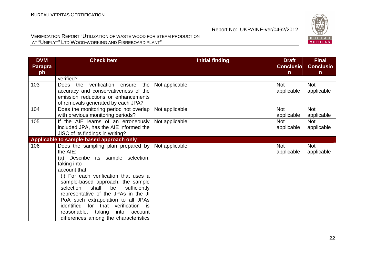

| <b>DVM</b><br><b>Paragra</b><br>ph | <b>Check Item</b>                                                                                                                                                                                                                                                                                                                                                                                                                                  | <b>Initial finding</b> | <b>Draft</b><br><b>Conclusio</b><br>$\mathsf{n}$ | <b>Final</b><br><b>Conclusio</b><br>$\mathsf{n}$ |
|------------------------------------|----------------------------------------------------------------------------------------------------------------------------------------------------------------------------------------------------------------------------------------------------------------------------------------------------------------------------------------------------------------------------------------------------------------------------------------------------|------------------------|--------------------------------------------------|--------------------------------------------------|
|                                    | verified?                                                                                                                                                                                                                                                                                                                                                                                                                                          |                        |                                                  |                                                  |
| 103                                | Does the verification ensure<br>the<br>accuracy and conservativeness of the<br>emission reductions or enhancements<br>of removals generated by each JPA?                                                                                                                                                                                                                                                                                           | Not applicable         | <b>Not</b><br>applicable                         | <b>Not</b><br>applicable                         |
| 104                                | Does the monitoring period not overlap<br>with previous monitoring periods?                                                                                                                                                                                                                                                                                                                                                                        | Not applicable         | <b>Not</b><br>applicable                         | <b>Not</b><br>applicable                         |
| 105                                | If the AIE learns of an erroneously<br>included JPA, has the AIE informed the<br>JISC of its findings in writing?                                                                                                                                                                                                                                                                                                                                  | Not applicable         | <b>Not</b><br>applicable                         | <b>Not</b><br>applicable                         |
|                                    | Applicable to sample-based approach only                                                                                                                                                                                                                                                                                                                                                                                                           |                        |                                                  |                                                  |
| 106                                | Does the sampling plan prepared by<br>the AIE:<br>(a) Describe its sample selection,<br>taking into<br>account that:<br>(i) For each verification that uses a<br>sample-based approach, the sample<br>shall<br>be<br>selection<br>sufficiently<br>representative of the JPAs in the JI<br>PoA such extrapolation to all JPAs<br>identified for that verification is<br>reasonable, taking<br>into account<br>differences among the characteristics | Not applicable         | <b>Not</b><br>applicable                         | <b>Not</b><br>applicable                         |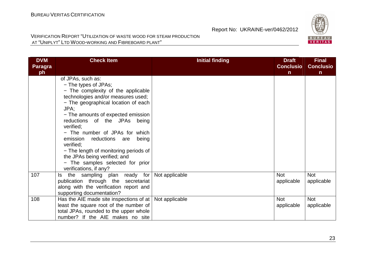

| <b>DVM</b><br><b>Paragra</b><br>ph | <b>Check Item</b>                                                                                                                                                                                                                                                                                                                                                                                                                                                              | <b>Initial finding</b> | <b>Draft</b><br><b>Conclusio</b><br>$\mathsf{n}$ | <b>Final</b><br><b>Conclusio</b><br>$\mathsf{n}$ |
|------------------------------------|--------------------------------------------------------------------------------------------------------------------------------------------------------------------------------------------------------------------------------------------------------------------------------------------------------------------------------------------------------------------------------------------------------------------------------------------------------------------------------|------------------------|--------------------------------------------------|--------------------------------------------------|
|                                    | of JPAs, such as:<br>- The types of JPAs;<br>- The complexity of the applicable<br>technologies and/or measures used;<br>- The geographical location of each<br>JPA;<br>- The amounts of expected emission<br>reductions of the JPAs being<br>verified;<br>- The number of JPAs for which<br>emission reductions are being<br>verified:<br>- The length of monitoring periods of<br>the JPAs being verified; and<br>- The samples selected for prior<br>verifications, if any? |                        |                                                  |                                                  |
| 107                                | Is the sampling plan ready for<br>publication through the secretariat<br>along with the verification report and<br>supporting documentation?                                                                                                                                                                                                                                                                                                                                   | Not applicable         | <b>Not</b><br>applicable                         | <b>Not</b><br>applicable                         |
| 108                                | Has the AIE made site inspections of at $ $<br>least the square root of the number of<br>total JPAs, rounded to the upper whole<br>number? If the AIE makes no site                                                                                                                                                                                                                                                                                                            | Not applicable         | <b>Not</b><br>applicable                         | <b>Not</b><br>applicable                         |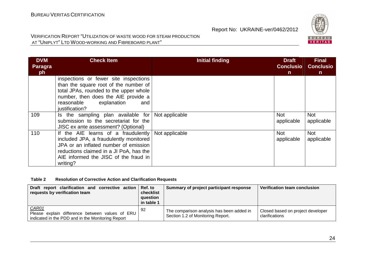

#### VERIFICATION REPORT "UTILIZATION OF WASTE WOOD FOR STEAM PRODUCTIONAT "UNIPLYT" <sup>L</sup>TD WOOD-WORKING AND FIBREBOARD PLANT"

| <b>DVM</b><br>Paragra<br>ph | <b>Check Item</b>                                                                                                                                                                                                      | <b>Initial finding</b> | <b>Draft</b><br><b>Conclusio</b><br>n | <b>Final</b><br><b>Conclusio</b><br>$\mathsf{n}$ |
|-----------------------------|------------------------------------------------------------------------------------------------------------------------------------------------------------------------------------------------------------------------|------------------------|---------------------------------------|--------------------------------------------------|
|                             | inspections or fewer site inspections<br>than the square root of the number of<br>total JPAs, rounded to the upper whole<br>number, then does the AIE provide a<br>explanation<br>reasonable<br>and<br>justification?  |                        |                                       |                                                  |
| 109                         | Is the sampling plan available for<br>submission to the secretariat for the<br>JISC ex ante assessment? (Optional)                                                                                                     | Not applicable         | Not<br>applicable                     | <b>Not</b><br>applicable                         |
| 110                         | If the AIE learns of a fraudulently<br>included JPA, a fraudulently monitored<br>JPA or an inflated number of emission<br>reductions claimed in a JI PoA, has the<br>AIE informed the JISC of the fraud in<br>writing? | Not applicable         | Not<br>applicable                     | <b>Not</b><br>applicable                         |

#### **Table 2 Resolution of Corrective Action and Clarification Requests**

| Draft report clarification and corrective action Ref. to<br>requests by verification team                            | checklist<br>question<br>in table 1 | Summary of project participant response                                        | Verification team conclusion                        |
|----------------------------------------------------------------------------------------------------------------------|-------------------------------------|--------------------------------------------------------------------------------|-----------------------------------------------------|
| <b>CAR01</b><br>Please explain difference between values of ERU<br>indicated in the PDD and in the Monitoring Report | -92                                 | The comparison analysis has been added in<br>Section 1.2 of Monitoring Report. | Closed based on project developer<br>clarifications |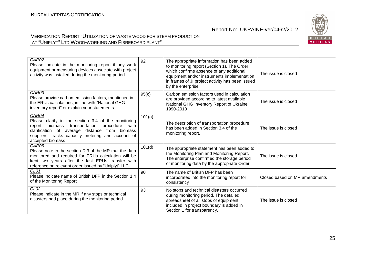

| CAR02<br>Please indicate in the monitoring report if any work<br>equipment or measuring devices associate with project<br>activity was installed during the monitoring period                                                                     | 92     | The appropriate information has been added<br>to monitoring report (Section 1). The Order<br>which confirms absence of any additional<br>equipment and/or instruments implementation<br>in frames of JI project activity has been issued<br>by the enterprise. | The issue is closed           |
|---------------------------------------------------------------------------------------------------------------------------------------------------------------------------------------------------------------------------------------------------|--------|----------------------------------------------------------------------------------------------------------------------------------------------------------------------------------------------------------------------------------------------------------------|-------------------------------|
| CAR03<br>Please provide carbon emission factors, mentioned in<br>the ERUs calculations, in line with "National GHG<br>inventory report" or explain your statements                                                                                | 95(c)  | Carbon emission factors used in calculation<br>are provided according to latest available<br>National GHG Inventory Report of Ukraine<br>1990-2010                                                                                                             | The issue is closed           |
| CAR04<br>Please clarify in the section 3.4 of the monitoring<br>transportation procedure<br>biomass<br>with<br>report<br>clarification of average distance from biomass<br>suppliers, tracks capacity metering and account of<br>accepted biomass | 101(a) | The description of transportation procedure<br>has been added in Section 3.4 of the<br>monitoring report.                                                                                                                                                      | The issue is closed           |
| CAR05<br>Please note in the section D.3 of the MR that the data<br>monitored and required for ERUs calculation will be<br>kept two years after the last ERUs transfer with<br>reference on relevant order issued by "Uniplyt" LLC                 | 101(d) | The appropriate statement has been added to<br>the Monitoring Plan and Monitoring Report.<br>The enterprise confirmed the storage period<br>of monitoring data by the appropriate Order.                                                                       | The issue is closed           |
| CL01<br>Please indicate name of British DFP in the Section 1.4<br>of the Monitoring Report                                                                                                                                                        | 90     | The name of British DFP has been<br>incorporated into the monitoring report for<br>consistency                                                                                                                                                                 | Closed based on MR amendments |
| CL <sub>02</sub><br>Please indicate in the MR if any stops or technical<br>disasters had place during the monitoring period                                                                                                                       | 93     | No stops and technical disasters occurred<br>during monitoring period. The detailed<br>spreadsheet of all stops of equipment<br>included in project boundary is added in<br>Section 1 for transparency.                                                        | The issue is closed           |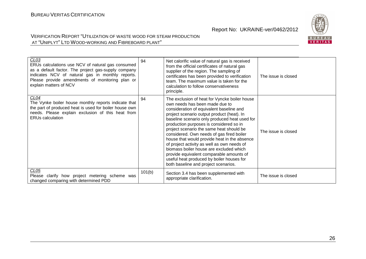

| CL <sub>03</sub><br>ERUs calculations use NCV of natural gas consumed<br>as a default factor. The project gas-supply company<br>indicates NCV of natural gas in monthly reports.<br>Please provide amendments of monitoring plan or<br>explain matters of NCV | 94     | Net calorific value of natural gas is received<br>from the official certificates of natural gas<br>supplier of the region. The sampling of<br>certificates has been provided to verification<br>team. The maximum value is taken for the<br>calculation to follow conservativeness<br>principle.                                                                                                                                                                                                                                                                                                                                          | The issue is closed |
|---------------------------------------------------------------------------------------------------------------------------------------------------------------------------------------------------------------------------------------------------------------|--------|-------------------------------------------------------------------------------------------------------------------------------------------------------------------------------------------------------------------------------------------------------------------------------------------------------------------------------------------------------------------------------------------------------------------------------------------------------------------------------------------------------------------------------------------------------------------------------------------------------------------------------------------|---------------------|
| CL04<br>The Vynke boiler house monthly reports indicate that<br>the part of produced heat is used for boiler house own<br>needs. Please explain exclusion of this heat from<br><b>ERUs calculation</b>                                                        | 94     | The exclusion of heat for Vyncke boiler house<br>own needs has been made due to<br>consideration of equivalent baseline and<br>project scenario output product (heat). In<br>baseline scenario only produced heat used for<br>production purposes is considered so in<br>project scenario the same heat should be<br>considered. Own needs of gas fired boiler<br>house that would provide heat in the absence<br>of project activity as well as own needs of<br>biomass boiler house are excluded which<br>provide equivalent comparable amounts of<br>useful heat produced by boiler houses for<br>both baseline and project scenarios. | The issue is closed |
| CL05<br>Please clarify how project metering scheme was<br>changed comparing with determined PDD                                                                                                                                                               | 101(b) | Section 3.4 has been supplemented with<br>appropriate clarification.                                                                                                                                                                                                                                                                                                                                                                                                                                                                                                                                                                      | The issue is closed |